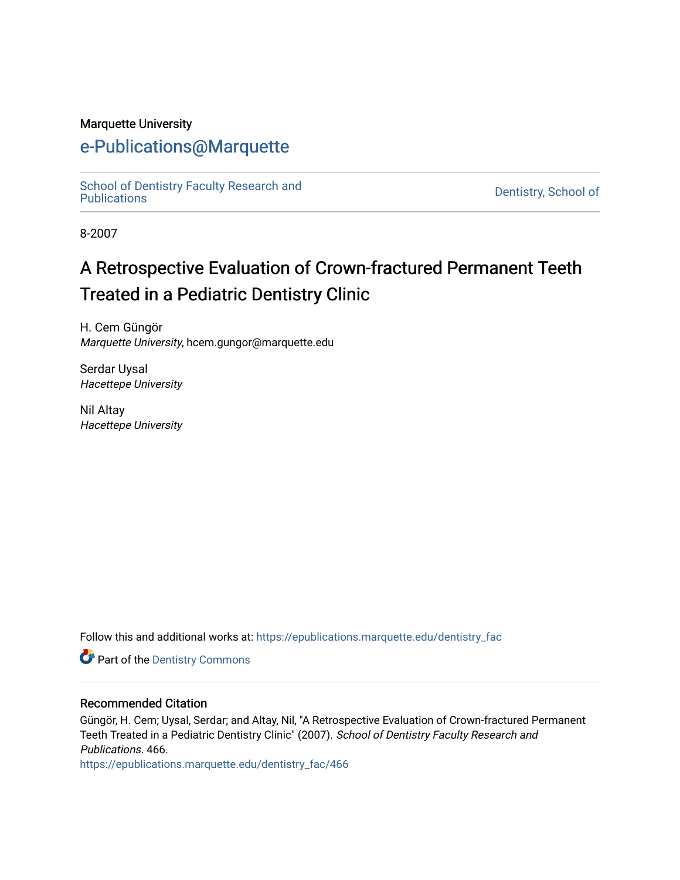#### Marquette University

# [e-Publications@Marquette](https://epublications.marquette.edu/)

School of Dentistry Faculty Research and<br>Publications

Dentistry, School of

8-2007

# A Retrospective Evaluation of Crown-fractured Permanent Teeth Treated in a Pediatric Dentistry Clinic

H. Cem Güngör Marquette University, hcem.gungor@marquette.edu

Serdar Uysal Hacettepe University

Nil Altay Hacettepe University

Follow this and additional works at: [https://epublications.marquette.edu/dentistry\\_fac](https://epublications.marquette.edu/dentistry_fac?utm_source=epublications.marquette.edu%2Fdentistry_fac%2F466&utm_medium=PDF&utm_campaign=PDFCoverPages) 

**Part of the Dentistry Commons** 

#### Recommended Citation

Güngör, H. Cem; Uysal, Serdar; and Altay, Nil, "A Retrospective Evaluation of Crown-fractured Permanent Teeth Treated in a Pediatric Dentistry Clinic" (2007). School of Dentistry Faculty Research and Publications. 466.

[https://epublications.marquette.edu/dentistry\\_fac/466](https://epublications.marquette.edu/dentistry_fac/466?utm_source=epublications.marquette.edu%2Fdentistry_fac%2F466&utm_medium=PDF&utm_campaign=PDFCoverPages)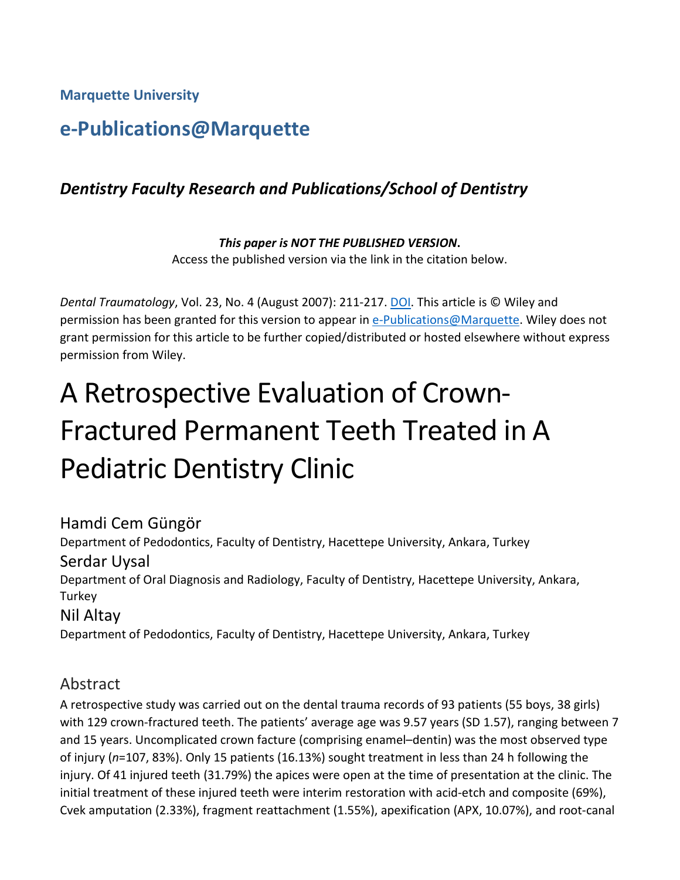**Marquette University**

# **e-Publications@Marquette**

# *Dentistry Faculty Research and Publications/School of Dentistry*

*This paper is NOT THE PUBLISHED VERSION***.**  Access the published version via the link in the citation below.

*Dental Traumatology*, Vol. 23, No. 4 (August 2007): 211-217. [DOI.](https://doi.org/10.1111/j.1600-9657.2005.00446.x) This article is © Wiley and permission has been granted for this version to appear in [e-Publications@Marquette.](http://epublications.marquette.edu/) Wiley does not grant permission for this article to be further copied/distributed or hosted elsewhere without express permission from Wiley.

# A Retrospective Evaluation of Crown-Fractured Permanent Teeth Treated in A Pediatric Dentistry Clinic

Hamdi Cem Güngör Department of Pedodontics, Faculty of Dentistry, Hacettepe University, Ankara, Turkey Serdar Uysal Department of Oral Diagnosis and Radiology, Faculty of Dentistry, Hacettepe University, Ankara, Turkey Nil Altay Department of Pedodontics, Faculty of Dentistry, Hacettepe University, Ankara, Turkey

## Abstract

A retrospective study was carried out on the dental trauma records of 93 patients (55 boys, 38 girls) with 129 crown-fractured teeth. The patients' average age was 9.57 years (SD 1.57), ranging between 7 and 15 years. Uncomplicated crown facture (comprising enamel–dentin) was the most observed type of injury (*n*=107, 83%). Only 15 patients (16.13%) sought treatment in less than 24 h following the injury. Of 41 injured teeth (31.79%) the apices were open at the time of presentation at the clinic. The initial treatment of these injured teeth were interim restoration with acid-etch and composite (69%), Cvek amputation (2.33%), fragment reattachment (1.55%), apexification (APX, 10.07%), and root-canal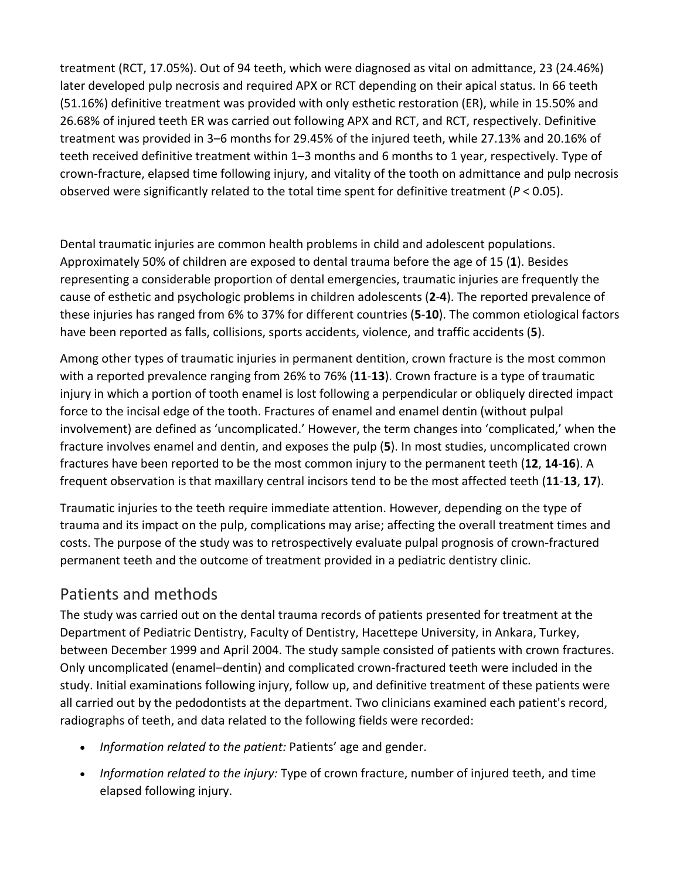treatment (RCT, 17.05%). Out of 94 teeth, which were diagnosed as vital on admittance, 23 (24.46%) later developed pulp necrosis and required APX or RCT depending on their apical status. In 66 teeth (51.16%) definitive treatment was provided with only esthetic restoration (ER), while in 15.50% and 26.68% of injured teeth ER was carried out following APX and RCT, and RCT, respectively. Definitive treatment was provided in 3–6 months for 29.45% of the injured teeth, while 27.13% and 20.16% of teeth received definitive treatment within 1–3 months and 6 months to 1 year, respectively. Type of crown-fracture, elapsed time following injury, and vitality of the tooth on admittance and pulp necrosis observed were significantly related to the total time spent for definitive treatment (*P* < 0.05).

Dental traumatic injuries are common health problems in child and adolescent populations. Approximately 50% of children are exposed to dental trauma before the age of 15 (**1**). Besides representing a considerable proportion of dental emergencies, traumatic injuries are frequently the cause of esthetic and psychologic problems in children adolescents (**2**-**4**). The reported prevalence of these injuries has ranged from 6% to 37% for different countries (**5**-**10**). The common etiological factors have been reported as falls, collisions, sports accidents, violence, and traffic accidents (**5**).

Among other types of traumatic injuries in permanent dentition, crown fracture is the most common with a reported prevalence ranging from 26% to 76% (**11**-**13**). Crown fracture is a type of traumatic injury in which a portion of tooth enamel is lost following a perpendicular or obliquely directed impact force to the incisal edge of the tooth. Fractures of enamel and enamel dentin (without pulpal involvement) are defined as 'uncomplicated.' However, the term changes into 'complicated,' when the fracture involves enamel and dentin, and exposes the pulp (**5**). In most studies, uncomplicated crown fractures have been reported to be the most common injury to the permanent teeth (**12**, **14**-**16**). A frequent observation is that maxillary central incisors tend to be the most affected teeth (**11**-**13**, **17**).

Traumatic injuries to the teeth require immediate attention. However, depending on the type of trauma and its impact on the pulp, complications may arise; affecting the overall treatment times and costs. The purpose of the study was to retrospectively evaluate pulpal prognosis of crown-fractured permanent teeth and the outcome of treatment provided in a pediatric dentistry clinic.

# Patients and methods

The study was carried out on the dental trauma records of patients presented for treatment at the Department of Pediatric Dentistry, Faculty of Dentistry, Hacettepe University, in Ankara, Turkey, between December 1999 and April 2004. The study sample consisted of patients with crown fractures. Only uncomplicated (enamel–dentin) and complicated crown-fractured teeth were included in the study. Initial examinations following injury, follow up, and definitive treatment of these patients were all carried out by the pedodontists at the department. Two clinicians examined each patient's record, radiographs of teeth, and data related to the following fields were recorded:

- *Information related to the patient:* Patients' age and gender.
- *Information related to the injury:* Type of crown fracture, number of injured teeth, and time elapsed following injury.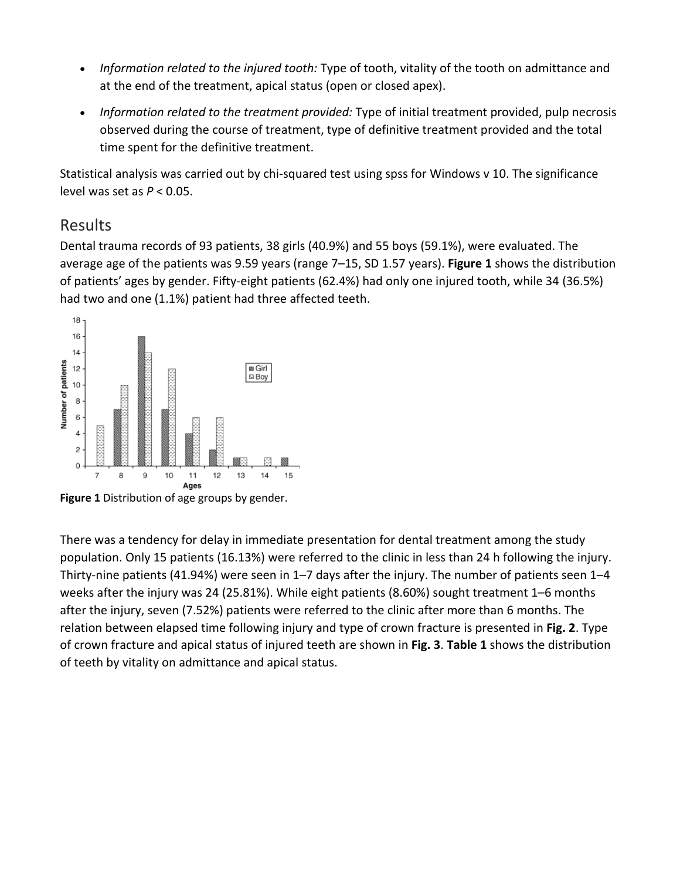- *Information related to the injured tooth:* Type of tooth, vitality of the tooth on admittance and at the end of the treatment, apical status (open or closed apex).
- *Information related to the treatment provided:* Type of initial treatment provided, pulp necrosis observed during the course of treatment, type of definitive treatment provided and the total time spent for the definitive treatment.

Statistical analysis was carried out by chi-squared test using spss for Windows v 10. The significance level was set as *P* < 0.05.

# Results

Dental trauma records of 93 patients, 38 girls (40.9%) and 55 boys (59.1%), were evaluated. The average age of the patients was 9.59 years (range 7–15, SD 1.57 years). **Figure 1** shows the distribution of patients' ages by gender. Fifty-eight patients (62.4%) had only one injured tooth, while 34 (36.5%) had two and one (1.1%) patient had three affected teeth.



**Figure 1** Distribution of age groups by gender.

There was a tendency for delay in immediate presentation for dental treatment among the study population. Only 15 patients (16.13%) were referred to the clinic in less than 24 h following the injury. Thirty-nine patients (41.94%) were seen in 1–7 days after the injury. The number of patients seen 1–4 weeks after the injury was 24 (25.81%). While eight patients (8.60%) sought treatment 1–6 months after the injury, seven (7.52%) patients were referred to the clinic after more than 6 months. The relation between elapsed time following injury and type of crown fracture is presented in **Fig. 2**. Type of crown fracture and apical status of injured teeth are shown in **Fig. 3**. **Table 1** shows the distribution of teeth by vitality on admittance and apical status.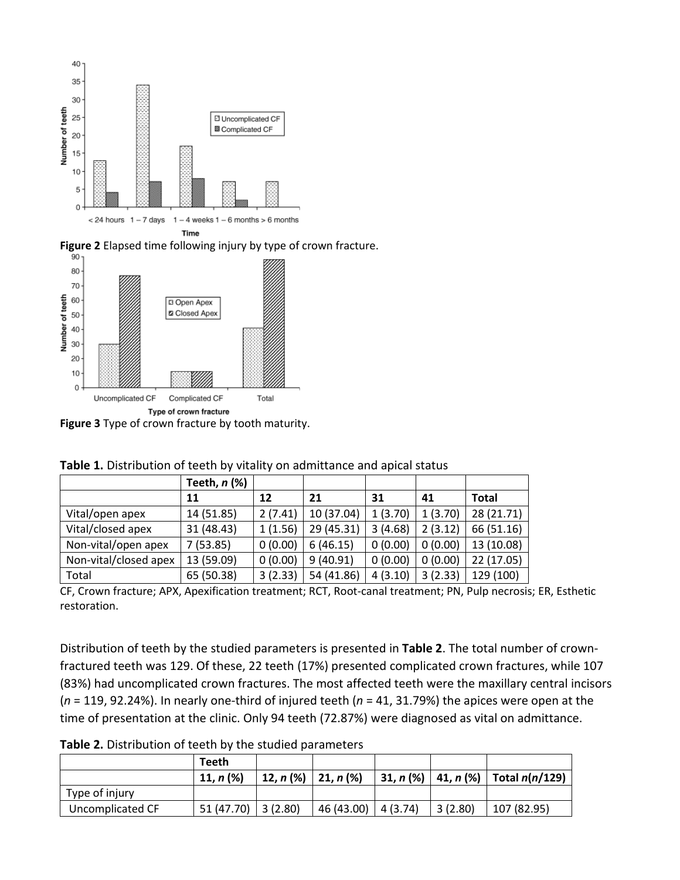

**Figure 2** Elapsed time following injury by type of crown fracture.



**Figure 3** Type of crown fracture by tooth maturity.

|                       | Teeth, $n$ (%) |         |            |         |         |              |
|-----------------------|----------------|---------|------------|---------|---------|--------------|
|                       | 11             | 12      | 21         | 31      | 41      | <b>Total</b> |
| Vital/open apex       | 14 (51.85)     | 2(7.41) | 10 (37.04) | 1(3.70) | 1(3.70) | 28 (21.71)   |
| Vital/closed apex     | 31 (48.43)     | 1(1.56) | 29 (45.31) | 3(4.68) | 2(3.12) | 66 (51.16)   |
| Non-vital/open apex   | 7(53.85)       | 0(0.00) | 6(46.15)   | 0(0.00) | 0(0.00) | 13 (10.08)   |
| Non-vital/closed apex | 13 (59.09)     | 0(0.00) | 9(40.91)   | 0(0.00) | 0(0.00) | 22 (17.05)   |
| Total                 | 65 (50.38)     | 3(2.33) | 54 (41.86) | 4(3.10) | 3(2.33) | 129 (100)    |

**Table 1.** Distribution of teeth by vitality on admittance and apical status

CF, Crown fracture; APX, Apexification treatment; RCT, Root-canal treatment; PN, Pulp necrosis; ER, Esthetic restoration.

Distribution of teeth by the studied parameters is presented in **Table 2**. The total number of crownfractured teeth was 129. Of these, 22 teeth (17%) presented complicated crown fractures, while 107 (83%) had uncomplicated crown fractures. The most affected teeth were the maxillary central incisors (*n* = 119, 92.24%). In nearly one-third of injured teeth (*n* = 41, 31.79%) the apices were open at the time of presentation at the clinic. Only 94 teeth (72.87%) were diagnosed as vital on admittance.

| Table 2. Distribution of teeth by the studied parameters |  |
|----------------------------------------------------------|--|
|----------------------------------------------------------|--|

|                  | Teeth       |             |                        |         |                                              |
|------------------|-------------|-------------|------------------------|---------|----------------------------------------------|
|                  | 11, $n$ (%) | 12, $n$ (%) | $ 21, n\ (%)$          |         | 31, n $(\%)$   41, n $(\%)$   Total n(n/129) |
| Type of injury   |             |             |                        |         |                                              |
| Uncomplicated CF | 51 (47.70)  | 3(2.80)     | $46(43.00)$   4 (3.74) | 3(2.80) | 107 (82.95)                                  |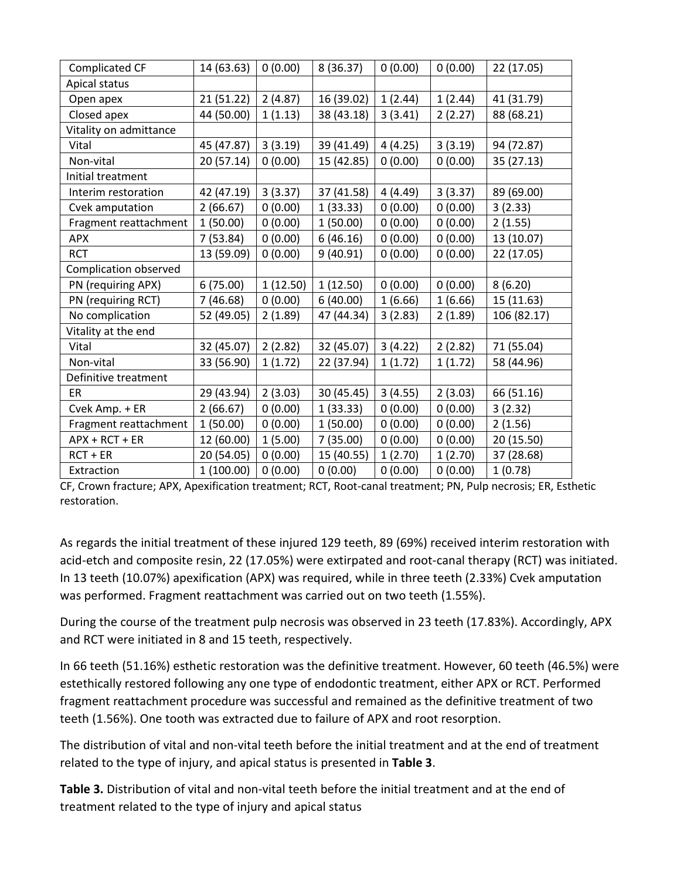| <b>Complicated CF</b>  | 14 (63.63) | 0(0.00)  | 8 (36.37)  | 0(0.00) | 0(0.00) | 22 (17.05)  |
|------------------------|------------|----------|------------|---------|---------|-------------|
| Apical status          |            |          |            |         |         |             |
| Open apex              | 21 (51.22) | 2(4.87)  | 16 (39.02) | 1(2.44) | 1(2.44) | 41 (31.79)  |
| Closed apex            | 44 (50.00) | 1(1.13)  | 38 (43.18) | 3(3.41) | 2(2.27) | 88 (68.21)  |
| Vitality on admittance |            |          |            |         |         |             |
| Vital                  | 45 (47.87) | 3(3.19)  | 39 (41.49) | 4(4.25) | 3(3.19) | 94 (72.87)  |
| Non-vital              | 20 (57.14) | 0(0.00)  | 15 (42.85) | 0(0.00) | 0(0.00) | 35 (27.13)  |
| Initial treatment      |            |          |            |         |         |             |
| Interim restoration    | 42 (47.19) | 3(3.37)  | 37 (41.58) | 4(4.49) | 3(3.37) | 89 (69.00)  |
| Cvek amputation        | 2(66.67)   | 0(0.00)  | 1(33.33)   | 0(0.00) | 0(0.00) | 3(2.33)     |
| Fragment reattachment  | 1(50.00)   | 0(0.00)  | 1(50.00)   | 0(0.00) | 0(0.00) | 2(1.55)     |
| <b>APX</b>             | 7(53.84)   | 0(0.00)  | 6(46.16)   | 0(0.00) | 0(0.00) | 13 (10.07)  |
| <b>RCT</b>             | 13 (59.09) | 0(0.00)  | 9(40.91)   | 0(0.00) | 0(0.00) | 22 (17.05)  |
| Complication observed  |            |          |            |         |         |             |
| PN (requiring APX)     | 6(75.00)   | 1(12.50) | 1(12.50)   | 0(0.00) | 0(0.00) | 8(6.20)     |
| PN (requiring RCT)     | 7 (46.68)  | 0(0.00)  | 6(40.00)   | 1(6.66) | 1(6.66) | 15 (11.63)  |
| No complication        | 52 (49.05) | 2(1.89)  | 47 (44.34) | 3(2.83) | 2(1.89) | 106 (82.17) |
| Vitality at the end    |            |          |            |         |         |             |
| Vital                  | 32 (45.07) | 2(2.82)  | 32 (45.07) | 3(4.22) | 2(2.82) | 71 (55.04)  |
| Non-vital              | 33 (56.90) | 1(1.72)  | 22 (37.94) | 1(1.72) | 1(1.72) | 58 (44.96)  |
| Definitive treatment   |            |          |            |         |         |             |
| ER                     | 29 (43.94) | 2(3.03)  | 30 (45.45) | 3(4.55) | 2(3.03) | 66 (51.16)  |
| Cvek Amp. + ER         | 2(66.67)   | 0(0.00)  | 1(33.33)   | 0(0.00) | 0(0.00) | 3(2.32)     |
| Fragment reattachment  | 1(50.00)   | 0(0.00)  | 1(50.00)   | 0(0.00) | 0(0.00) | 2(1.56)     |
| APX + RCT + ER         | 12 (60.00) | 1(5.00)  | 7(35.00)   | 0(0.00) | 0(0.00) | 20 (15.50)  |
| $RCT + ER$             | 20 (54.05) | 0(0.00)  | 15 (40.55) | 1(2.70) | 1(2.70) | 37 (28.68)  |
| Extraction             | 1(100.00)  | 0(0.00)  | 0(0.00)    | 0(0.00) | 0(0.00) | 1(0.78)     |

CF, Crown fracture; APX, Apexification treatment; RCT, Root-canal treatment; PN, Pulp necrosis; ER, Esthetic restoration.

As regards the initial treatment of these injured 129 teeth, 89 (69%) received interim restoration with acid-etch and composite resin, 22 (17.05%) were extirpated and root-canal therapy (RCT) was initiated. In 13 teeth (10.07%) apexification (APX) was required, while in three teeth (2.33%) Cvek amputation was performed. Fragment reattachment was carried out on two teeth (1.55%).

During the course of the treatment pulp necrosis was observed in 23 teeth (17.83%). Accordingly, APX and RCT were initiated in 8 and 15 teeth, respectively.

In 66 teeth (51.16%) esthetic restoration was the definitive treatment. However, 60 teeth (46.5%) were estethically restored following any one type of endodontic treatment, either APX or RCT. Performed fragment reattachment procedure was successful and remained as the definitive treatment of two teeth (1.56%). One tooth was extracted due to failure of APX and root resorption.

The distribution of vital and non-vital teeth before the initial treatment and at the end of treatment related to the type of injury, and apical status is presented in **Table 3**.

**Table 3.** Distribution of vital and non-vital teeth before the initial treatment and at the end of treatment related to the type of injury and apical status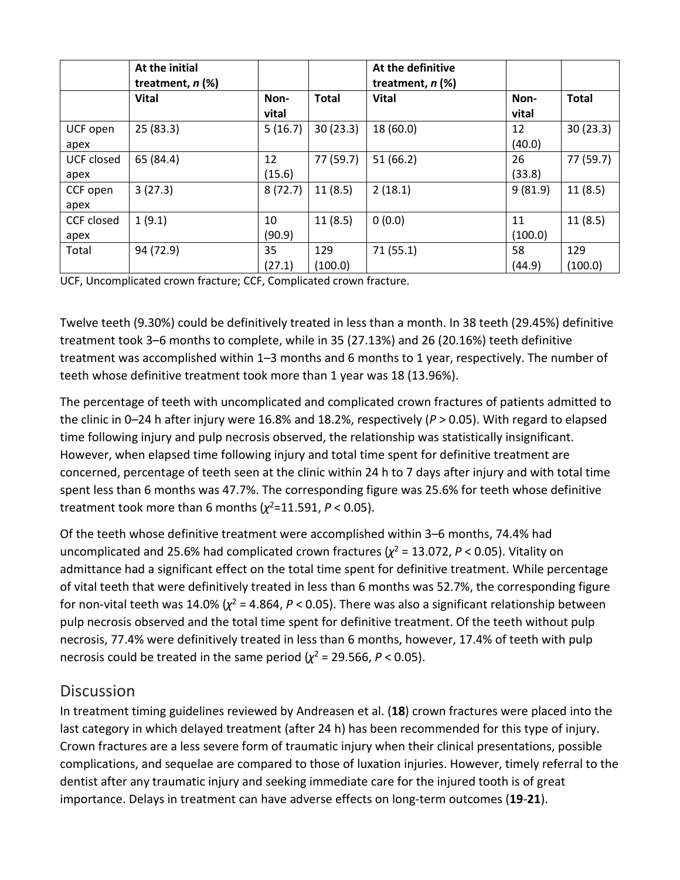|                           | At the initial<br>treatment, $n$ (%) |               |                | At the definitive<br>treatment, $n$ (%) |               |                |
|---------------------------|--------------------------------------|---------------|----------------|-----------------------------------------|---------------|----------------|
|                           | <b>Vital</b>                         | Non-<br>vital | <b>Total</b>   | <b>Vital</b>                            | Non-<br>vital | <b>Total</b>   |
| UCF open<br>apex          | 25(83.3)                             | 5(16.7)       | 30(23.3)       | 18 (60.0)                               | 12<br>(40.0)  | 30(23.3)       |
| UCF closed<br>apex        | 65 (84.4)                            | 12<br>(15.6)  | 77 (59.7)      | 51(66.2)                                | 26<br>(33.8)  | 77 (59.7)      |
| CCF open<br>apex          | 3(27.3)                              | 8(72.7)       | 11(8.5)        | 2(18.1)                                 | 9(81.9)       | 11(8.5)        |
| <b>CCF</b> closed<br>apex | 1(9.1)                               | 10<br>(90.9)  | 11(8.5)        | 0(0.0)                                  | 11<br>(100.0) | 11(8.5)        |
| Total                     | 94 (72.9)                            | 35<br>(27.1)  | 129<br>(100.0) | 71(55.1)                                | 58<br>(44.9)  | 129<br>(100.0) |

UCF, Uncomplicated crown fracture; CCF, Complicated crown fracture.

Twelve teeth (9.30%) could be definitively treated in less than a month. In 38 teeth (29.45%) definitive treatment took 3–6 months to complete, while in 35 (27.13%) and 26 (20.16%) teeth definitive treatment was accomplished within 1–3 months and 6 months to 1 year, respectively. The number of teeth whose definitive treatment took more than 1 year was 18 (13.96%).

The percentage of teeth with uncomplicated and complicated crown fractures of patients admitted to the clinic in 0–24 h after injury were 16.8% and 18.2%, respectively (*P* > 0.05). With regard to elapsed time following injury and pulp necrosis observed, the relationship was statistically insignificant. However, when elapsed time following injury and total time spent for definitive treatment are concerned, percentage of teeth seen at the clinic within 24 h to 7 days after injury and with total time spent less than 6 months was 47.7%. The corresponding figure was 25.6% for teeth whose definitive treatment took more than 6 months  $(\chi^2=11.591, P < 0.05)$ .

Of the teeth whose definitive treatment were accomplished within 3–6 months, 74.4% had uncomplicated and 25.6% had complicated crown fractures (*χ*<sup>2</sup> = 13.072, *P* < 0.05). Vitality on admittance had a significant effect on the total time spent for definitive treatment. While percentage of vital teeth that were definitively treated in less than 6 months was 52.7%, the corresponding figure for non-vital teeth was 14.0% ( $\chi^2$  = 4.864,  $P$  < 0.05). There was also a significant relationship between pulp necrosis observed and the total time spent for definitive treatment. Of the teeth without pulp necrosis, 77.4% were definitively treated in less than 6 months, however, 17.4% of teeth with pulp necrosis could be treated in the same period  $(\chi^2 = 29.566, P < 0.05)$ .

## **Discussion**

In treatment timing guidelines reviewed by Andreasen et al. (**18**) crown fractures were placed into the last category in which delayed treatment (after 24 h) has been recommended for this type of injury. Crown fractures are a less severe form of traumatic injury when their clinical presentations, possible complications, and sequelae are compared to those of luxation injuries. However, timely referral to the dentist after any traumatic injury and seeking immediate care for the injured tooth is of great importance. Delays in treatment can have adverse effects on long-term outcomes (**19**-**21**).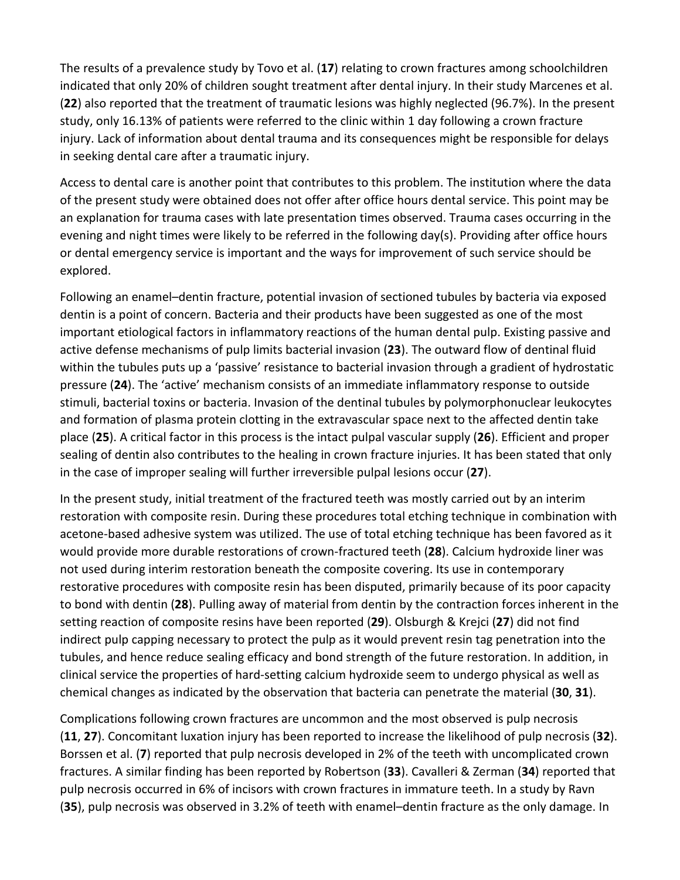The results of a prevalence study by Tovo et al. (**17**) relating to crown fractures among schoolchildren indicated that only 20% of children sought treatment after dental injury. In their study Marcenes et al. (**22**) also reported that the treatment of traumatic lesions was highly neglected (96.7%). In the present study, only 16.13% of patients were referred to the clinic within 1 day following a crown fracture injury. Lack of information about dental trauma and its consequences might be responsible for delays in seeking dental care after a traumatic injury.

Access to dental care is another point that contributes to this problem. The institution where the data of the present study were obtained does not offer after office hours dental service. This point may be an explanation for trauma cases with late presentation times observed. Trauma cases occurring in the evening and night times were likely to be referred in the following day(s). Providing after office hours or dental emergency service is important and the ways for improvement of such service should be explored.

Following an enamel–dentin fracture, potential invasion of sectioned tubules by bacteria via exposed dentin is a point of concern. Bacteria and their products have been suggested as one of the most important etiological factors in inflammatory reactions of the human dental pulp. Existing passive and active defense mechanisms of pulp limits bacterial invasion (**23**). The outward flow of dentinal fluid within the tubules puts up a 'passive' resistance to bacterial invasion through a gradient of hydrostatic pressure (**24**). The 'active' mechanism consists of an immediate inflammatory response to outside stimuli, bacterial toxins or bacteria. Invasion of the dentinal tubules by polymorphonuclear leukocytes and formation of plasma protein clotting in the extravascular space next to the affected dentin take place (**25**). A critical factor in this process is the intact pulpal vascular supply (**26**). Efficient and proper sealing of dentin also contributes to the healing in crown fracture injuries. It has been stated that only in the case of improper sealing will further irreversible pulpal lesions occur (**27**).

In the present study, initial treatment of the fractured teeth was mostly carried out by an interim restoration with composite resin. During these procedures total etching technique in combination with acetone-based adhesive system was utilized. The use of total etching technique has been favored as it would provide more durable restorations of crown-fractured teeth (**28**). Calcium hydroxide liner was not used during interim restoration beneath the composite covering. Its use in contemporary restorative procedures with composite resin has been disputed, primarily because of its poor capacity to bond with dentin (**28**). Pulling away of material from dentin by the contraction forces inherent in the setting reaction of composite resins have been reported (**29**). Olsburgh & Krejci (**27**) did not find indirect pulp capping necessary to protect the pulp as it would prevent resin tag penetration into the tubules, and hence reduce sealing efficacy and bond strength of the future restoration. In addition, in clinical service the properties of hard-setting calcium hydroxide seem to undergo physical as well as chemical changes as indicated by the observation that bacteria can penetrate the material (**30**, **31**).

Complications following crown fractures are uncommon and the most observed is pulp necrosis (**11**, **27**). Concomitant luxation injury has been reported to increase the likelihood of pulp necrosis (**32**). Borssen et al. (**7**) reported that pulp necrosis developed in 2% of the teeth with uncomplicated crown fractures. A similar finding has been reported by Robertson (**33**). Cavalleri & Zerman (**34**) reported that pulp necrosis occurred in 6% of incisors with crown fractures in immature teeth. In a study by Ravn (**35**), pulp necrosis was observed in 3.2% of teeth with enamel–dentin fracture as the only damage. In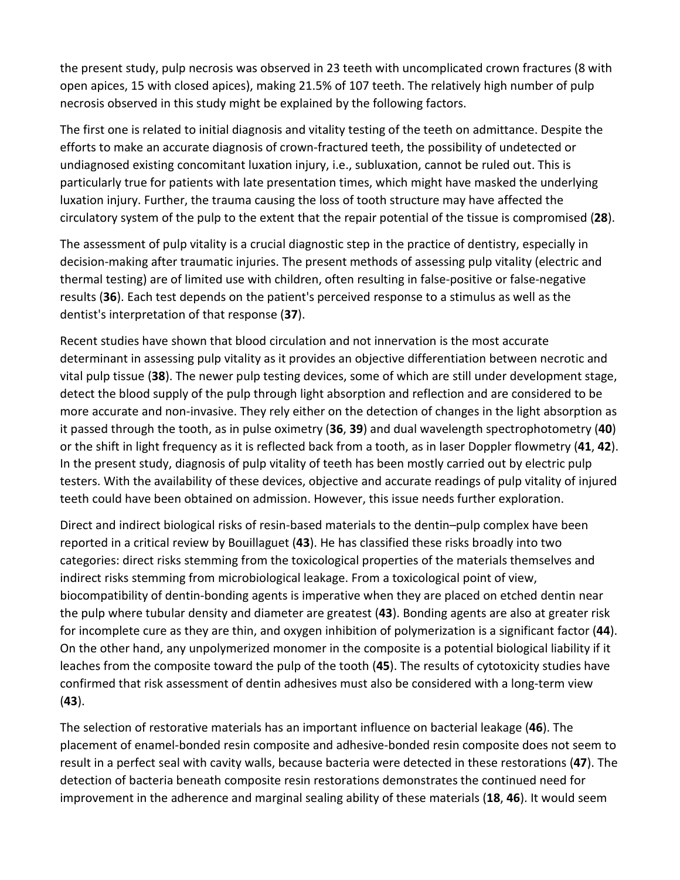the present study, pulp necrosis was observed in 23 teeth with uncomplicated crown fractures (8 with open apices, 15 with closed apices), making 21.5% of 107 teeth. The relatively high number of pulp necrosis observed in this study might be explained by the following factors.

The first one is related to initial diagnosis and vitality testing of the teeth on admittance. Despite the efforts to make an accurate diagnosis of crown-fractured teeth, the possibility of undetected or undiagnosed existing concomitant luxation injury, i.e., subluxation, cannot be ruled out. This is particularly true for patients with late presentation times, which might have masked the underlying luxation injury. Further, the trauma causing the loss of tooth structure may have affected the circulatory system of the pulp to the extent that the repair potential of the tissue is compromised (**28**).

The assessment of pulp vitality is a crucial diagnostic step in the practice of dentistry, especially in decision-making after traumatic injuries. The present methods of assessing pulp vitality (electric and thermal testing) are of limited use with children, often resulting in false-positive or false-negative results (**36**). Each test depends on the patient's perceived response to a stimulus as well as the dentist's interpretation of that response (**37**).

Recent studies have shown that blood circulation and not innervation is the most accurate determinant in assessing pulp vitality as it provides an objective differentiation between necrotic and vital pulp tissue (**38**). The newer pulp testing devices, some of which are still under development stage, detect the blood supply of the pulp through light absorption and reflection and are considered to be more accurate and non-invasive. They rely either on the detection of changes in the light absorption as it passed through the tooth, as in pulse oximetry (**36**, **39**) and dual wavelength spectrophotometry (**40**) or the shift in light frequency as it is reflected back from a tooth, as in laser Doppler flowmetry (**41**, **42**). In the present study, diagnosis of pulp vitality of teeth has been mostly carried out by electric pulp testers. With the availability of these devices, objective and accurate readings of pulp vitality of injured teeth could have been obtained on admission. However, this issue needs further exploration.

Direct and indirect biological risks of resin-based materials to the dentin–pulp complex have been reported in a critical review by Bouillaguet (**43**). He has classified these risks broadly into two categories: direct risks stemming from the toxicological properties of the materials themselves and indirect risks stemming from microbiological leakage. From a toxicological point of view, biocompatibility of dentin-bonding agents is imperative when they are placed on etched dentin near the pulp where tubular density and diameter are greatest (**43**). Bonding agents are also at greater risk for incomplete cure as they are thin, and oxygen inhibition of polymerization is a significant factor (**44**). On the other hand, any unpolymerized monomer in the composite is a potential biological liability if it leaches from the composite toward the pulp of the tooth (**45**). The results of cytotoxicity studies have confirmed that risk assessment of dentin adhesives must also be considered with a long-term view (**43**).

The selection of restorative materials has an important influence on bacterial leakage (**46**). The placement of enamel-bonded resin composite and adhesive-bonded resin composite does not seem to result in a perfect seal with cavity walls, because bacteria were detected in these restorations (**47**). The detection of bacteria beneath composite resin restorations demonstrates the continued need for improvement in the adherence and marginal sealing ability of these materials (**18**, **46**). It would seem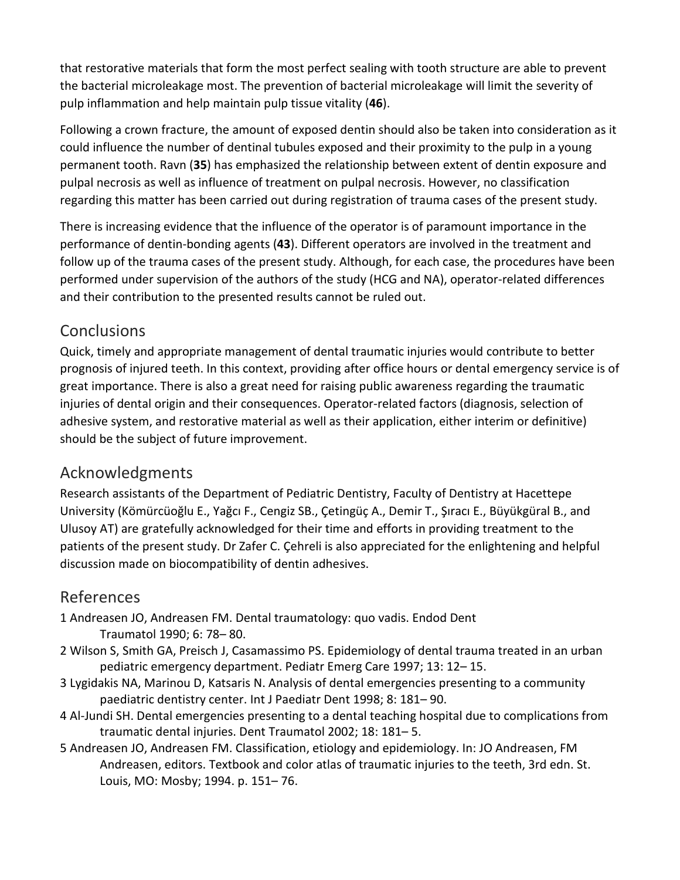that restorative materials that form the most perfect sealing with tooth structure are able to prevent the bacterial microleakage most. The prevention of bacterial microleakage will limit the severity of pulp inflammation and help maintain pulp tissue vitality (**46**).

Following a crown fracture, the amount of exposed dentin should also be taken into consideration as it could influence the number of dentinal tubules exposed and their proximity to the pulp in a young permanent tooth. Ravn (**35**) has emphasized the relationship between extent of dentin exposure and pulpal necrosis as well as influence of treatment on pulpal necrosis. However, no classification regarding this matter has been carried out during registration of trauma cases of the present study.

There is increasing evidence that the influence of the operator is of paramount importance in the performance of dentin-bonding agents (**43**). Different operators are involved in the treatment and follow up of the trauma cases of the present study. Although, for each case, the procedures have been performed under supervision of the authors of the study (HCG and NA), operator-related differences and their contribution to the presented results cannot be ruled out.

# Conclusions

Quick, timely and appropriate management of dental traumatic injuries would contribute to better prognosis of injured teeth. In this context, providing after office hours or dental emergency service is of great importance. There is also a great need for raising public awareness regarding the traumatic injuries of dental origin and their consequences. Operator-related factors (diagnosis, selection of adhesive system, and restorative material as well as their application, either interim or definitive) should be the subject of future improvement.

# Acknowledgments

Research assistants of the Department of Pediatric Dentistry, Faculty of Dentistry at Hacettepe University (Kömürcüoğlu E., Yağcı F., Cengiz SB., Çetingüç A., Demir T., Şıracı E., Büyükgüral B., and Ulusoy AT) are gratefully acknowledged for their time and efforts in providing treatment to the patients of the present study. Dr Zafer C. Çehreli is also appreciated for the enlightening and helpful discussion made on biocompatibility of dentin adhesives.

# References

- 1 Andreasen JO, Andreasen FM. Dental traumatology: quo vadis. Endod Dent Traumatol 1990; 6: 78– 80.
- 2 Wilson S, Smith GA, Preisch J, Casamassimo PS. Epidemiology of dental trauma treated in an urban pediatric emergency department. Pediatr Emerg Care 1997; 13: 12– 15.
- 3 Lygidakis NA, Marinou D, Katsaris N. Analysis of dental emergencies presenting to a community paediatric dentistry center. Int J Paediatr Dent 1998; 8: 181– 90.
- 4 Al-Jundi SH. Dental emergencies presenting to a dental teaching hospital due to complications from traumatic dental injuries. Dent Traumatol 2002; 18: 181– 5.
- 5 Andreasen JO, Andreasen FM. Classification, etiology and epidemiology. In: JO Andreasen, FM Andreasen, editors. Textbook and color atlas of traumatic injuries to the teeth, 3rd edn. St. Louis, MO: Mosby; 1994. p. 151– 76.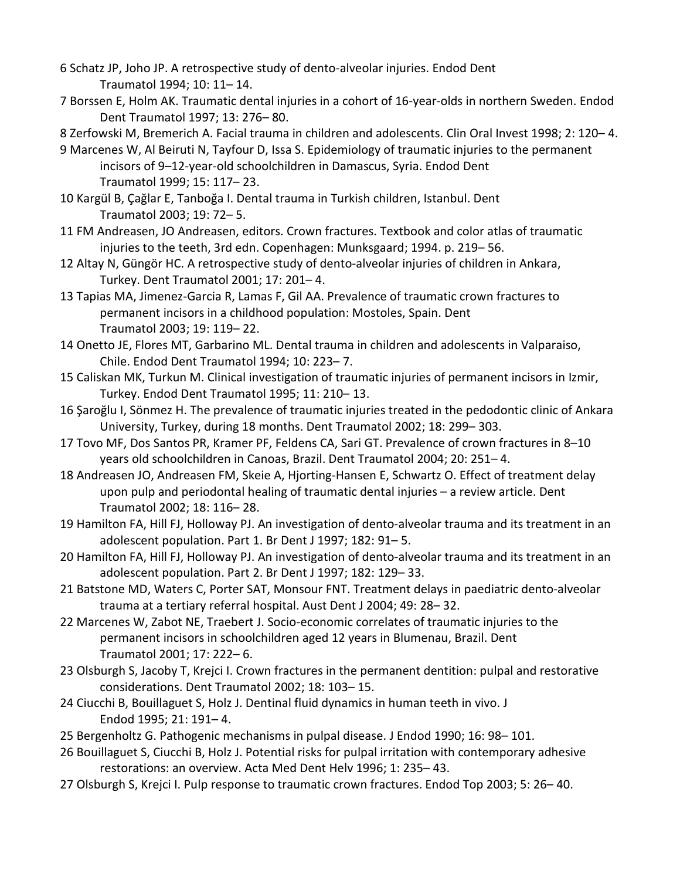- 6 Schatz JP, Joho JP. A retrospective study of dento-alveolar injuries. Endod Dent Traumatol 1994; 10: 11– 14.
- 7 Borssen E, Holm AK. Traumatic dental injuries in a cohort of 16-year-olds in northern Sweden. Endod Dent Traumatol 1997; 13: 276– 80.
- 8 Zerfowski M, Bremerich A. Facial trauma in children and adolescents. Clin Oral Invest 1998; 2: 120– 4.
- 9 Marcenes W, Al Beiruti N, Tayfour D, Issa S. Epidemiology of traumatic injuries to the permanent incisors of 9–12-year-old schoolchildren in Damascus, Syria. Endod Dent Traumatol 1999; 15: 117– 23.
- 10 Kargül B, Çağlar E, Tanboğa I. Dental trauma in Turkish children, Istanbul. Dent Traumatol 2003; 19: 72– 5.
- 11 FM Andreasen, JO Andreasen, editors. Crown fractures. Textbook and color atlas of traumatic injuries to the teeth, 3rd edn. Copenhagen: Munksgaard; 1994. p. 219– 56.
- 12 Altay N, Güngör HC. A retrospective study of dento-alveolar injuries of children in Ankara, Turkey. Dent Traumatol 2001; 17: 201– 4.
- 13 Tapias MA, Jimenez-Garcia R, Lamas F, Gil AA. Prevalence of traumatic crown fractures to permanent incisors in a childhood population: Mostoles, Spain. Dent Traumatol 2003; 19: 119– 22.
- 14 Onetto JE, Flores MT, Garbarino ML. Dental trauma in children and adolescents in Valparaiso, Chile. Endod Dent Traumatol 1994; 10: 223– 7.
- 15 Caliskan MK, Turkun M. Clinical investigation of traumatic injuries of permanent incisors in Izmir, Turkey. Endod Dent Traumatol 1995; 11: 210– 13.
- 16 Şaroğlu I, Sönmez H. The prevalence of traumatic injuries treated in the pedodontic clinic of Ankara University, Turkey, during 18 months. Dent Traumatol 2002; 18: 299– 303.
- 17 Tovo MF, Dos Santos PR, Kramer PF, Feldens CA, Sari GT. Prevalence of crown fractures in 8–10 years old schoolchildren in Canoas, Brazil. Dent Traumatol 2004; 20: 251– 4.
- 18 Andreasen JO, Andreasen FM, Skeie A, Hjorting-Hansen E, Schwartz O. Effect of treatment delay upon pulp and periodontal healing of traumatic dental injuries – a review article. Dent Traumatol 2002; 18: 116– 28.
- 19 Hamilton FA, Hill FJ, Holloway PJ. An investigation of dento-alveolar trauma and its treatment in an adolescent population. Part 1. Br Dent J 1997; 182: 91– 5.
- 20 Hamilton FA, Hill FJ, Holloway PJ. An investigation of dento-alveolar trauma and its treatment in an adolescent population. Part 2. Br Dent J 1997; 182: 129– 33.
- 21 Batstone MD, Waters C, Porter SAT, Monsour FNT. Treatment delays in paediatric dento-alveolar trauma at a tertiary referral hospital. Aust Dent J 2004; 49: 28– 32.
- 22 Marcenes W, Zabot NE, Traebert J. Socio-economic correlates of traumatic injuries to the permanent incisors in schoolchildren aged 12 years in Blumenau, Brazil. Dent Traumatol 2001; 17: 222– 6.
- 23 Olsburgh S, Jacoby T, Krejci I. Crown fractures in the permanent dentition: pulpal and restorative considerations. Dent Traumatol 2002; 18: 103– 15.
- 24 Ciucchi B, Bouillaguet S, Holz J. Dentinal fluid dynamics in human teeth in vivo. J Endod 1995; 21: 191– 4.
- 25 Bergenholtz G. Pathogenic mechanisms in pulpal disease. J Endod 1990; 16: 98– 101.
- 26 Bouillaguet S, Ciucchi B, Holz J. Potential risks for pulpal irritation with contemporary adhesive restorations: an overview. Acta Med Dent Helv 1996; 1: 235– 43.
- 27 Olsburgh S, Krejci I. Pulp response to traumatic crown fractures. Endod Top 2003; 5: 26– 40.